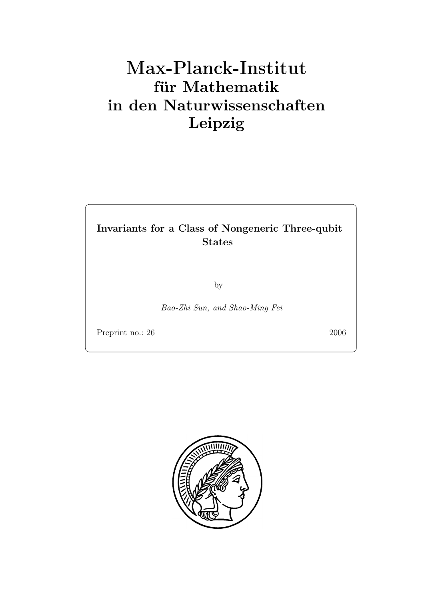### **für Mathematik in den Naturwissenschaften Leipzig**

## **Invariants for a Class of Nongeneric Three-qubit**

by

*Bao-Zhi Sun, and Shao-Ming Fei*

Preprint no.: 26 2006

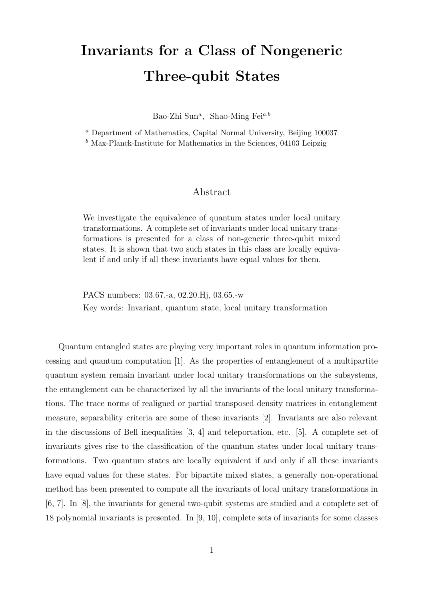# **Invariants for a Class of Nongeneric Three-qubit States**

Bao-Zhi Sun*<sup>a</sup>*, Shao-Ming Fei*a,b*

<sup>*a*</sup> Department of Mathematics, Capital Normal University, Beiling 100037  $b$  Max-Planck-Institute for Mathematics in the Sciences  $\frac{0.4103}{0.003}$  Leinzig Max-Planck-Institute for Mathematics in the Sciences, 04103 Leipzig

### Abstract

We investigate the equivalence of quantum states under local unitary transformations. A complete set of invariants under local unitary transformations is presented for a class of non-generic three-qubit mixed states. It is shown that two such states in this class are locally equivalent if and only if all these invariants have equal values for them.

PACS numbers: 03.67.-a, 02.20.Hj, 03.65.-w Key words: Invariant, quantum state, local unitary transformation

Quantum entangled states are playing very important roles in quantum information processing and quantum computation [1]. As the properties of entanglement of a multipartite quantum system remain invariant under local unitary transformations on the subsystems, the entanglement can be characterized by all the invariants of the local unitary transformations. The trace norms of realigned or partial transposed density matrices in entanglement measure, separability criteria are some of these invariants [2]. Invariants are also relevant in the discussions of Bell inequalities [3, 4] and teleportation, etc. [5]. A complete set of invariants gives rise to the classification of the quantum states under local unitary transformations. Two quantum states are locally equivalent if and only if all these invariants have equal values for these states. For bipartite mixed states, a generally non-operational method has been presented to compute all the invariants of local unitary transformations in [6, 7]. In [8], the invariants for general two-qubit systems are studied and a complete set of 18 polynomial invariants is presented. In [9, 10], complete sets of invariants for some classes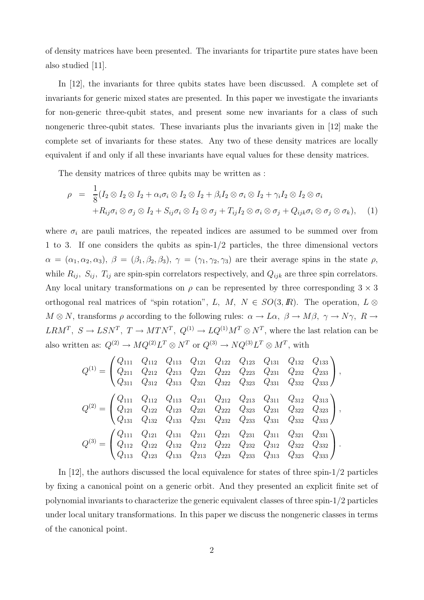of density matrices have been presented. The invariants for tripartite pure states have been also studied [11].

In [12], the invariants for three qubits states have been discussed. A complete set of invariants for generic mixed states are presented. In this paper we investigate the invariants for non-generic three-qubit states, and present some new invariants for a class of such nongeneric three-qubit states. These invariants plus the invariants given in [12] make the complete set of invariants for these states. Any two of these density matrices are locally equivalent if and only if all these invariants have equal values for these density matrices.

The density matrices of three qubits may be written as :

$$
\rho = \frac{1}{8} (I_2 \otimes I_2 \otimes I_2 + \alpha_i \sigma_i \otimes I_2 \otimes I_2 + \beta_i I_2 \otimes \sigma_i \otimes I_2 + \gamma_i I_2 \otimes I_2 \otimes \sigma_i + R_{ij} \sigma_i \otimes \sigma_j \otimes I_2 + S_{ij} \sigma_i \otimes I_2 \otimes \sigma_j + T_{ij} I_2 \otimes \sigma_i \otimes \sigma_j + Q_{ijk} \sigma_i \otimes \sigma_j \otimes \sigma_k), \quad (1)
$$

where  $\sigma_i$  are pauli matrices, the repeated indices are assumed to be summed over from 1 to 3. If one considers the qubits as spin-1/2 particles, the three dimensional vectors  $\alpha = (\alpha_1, \alpha_2, \alpha_3), \ \beta = (\beta_1, \beta_2, \beta_3), \ \gamma = (\gamma_1, \gamma_2, \gamma_3)$  are their average spins in the state  $\rho$ , while  $R_{ij}$ ,  $S_{ij}$ ,  $T_{ij}$  are spin-spin correlators respectively, and  $Q_{ijk}$  are three spin correlators. Any local unitary transformations on  $\rho$  can be represented by three corresponding  $3 \times 3$ orthogonal real matrices of "spin rotation", L, M,  $N \in SO(3, \mathbb{R})$ . The operation, L ⊗  $M \otimes N$ , transforms  $\rho$  according to the following rules:  $\alpha \to L\alpha$ ,  $\beta \to M\beta$ ,  $\gamma \to N\gamma$ ,  $R \to$  $LRM^T$ ,  $S \to LSN^T$ ,  $T \to MTN^T$ ,  $Q^{(1)} \to LQ^{(1)}M^T \otimes N^T$ , where the last relation can be also written as:  $Q^{(2)} \to MQ^{(2)}L^T \otimes N^T$  or  $Q^{(3)} \to NQ^{(3)}L^T \otimes M^T$ , with

$$
Q^{(1)} = \begin{pmatrix} Q_{111} & Q_{112} & Q_{113} & Q_{121} & Q_{122} & Q_{123} & Q_{131} & Q_{132} & Q_{133} \\ Q_{211} & Q_{212} & Q_{213} & Q_{221} & Q_{222} & Q_{223} & Q_{231} & Q_{232} & Q_{233} \\ Q_{311} & Q_{312} & Q_{313} & Q_{321} & Q_{322} & Q_{323} & Q_{331} & Q_{332} & Q_{333} \end{pmatrix},
$$
  
\n
$$
Q^{(2)} = \begin{pmatrix} Q_{111} & Q_{112} & Q_{113} & Q_{211} & Q_{212} & Q_{213} & Q_{311} & Q_{312} & Q_{313} \\ Q_{121} & Q_{122} & Q_{123} & Q_{221} & Q_{222} & Q_{323} & Q_{231} & Q_{322} & Q_{323} \\ Q_{131} & Q_{132} & Q_{133} & Q_{231} & Q_{232} & Q_{233} & Q_{331} & Q_{332} & Q_{333} \end{pmatrix},
$$
  
\n
$$
Q^{(3)} = \begin{pmatrix} Q_{111} & Q_{121} & Q_{131} & Q_{211} & Q_{221} & Q_{231} & Q_{311} & Q_{321} & Q_{331} \\ Q_{112} & Q_{122} & Q_{132} & Q_{212} & Q_{222} & Q_{232} & Q_{312} & Q_{322} & Q_{332} \\ Q_{113} & Q_{123} & Q_{133} & Q_{213} & Q_{223} & Q_{233} & Q_{313} & Q_{323} & Q_{333} \end{pmatrix}.
$$

In [12], the authors discussed the local equivalence for states of three spin-1/2 particles by fixing a canonical point on a generic orbit. And they presented an explicit finite set of polynomial invariants to characterize the generic equivalent classes of three spin-1/2 particles under local unitary transformations. In this paper we discuss the nongeneric classes in terms of the canonical point.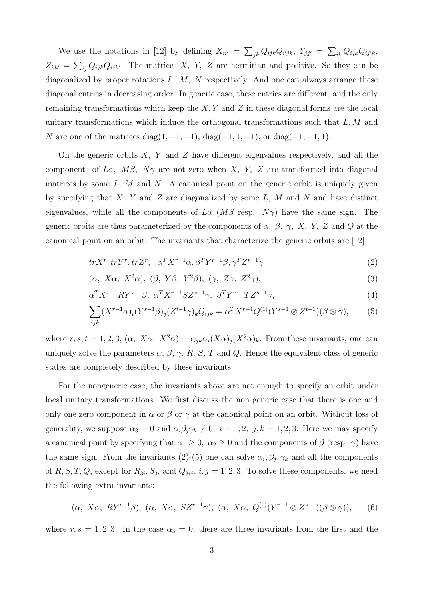We use the notations in [12] by defining  $X_{ii'} = \sum_{jk} Q_{ijk} Q_{i'jk}$ ,  $Y_{jj'} = \sum_{ik} Q_{ijk} Q_{ij'k}$ ,  $Z_{kk'} = \sum_{ij} Q_{ijk} Q_{ijk'}$ . The matrices X, Y, Z are hermitian and positive. So they can be diagonalized by proper rotations  $L, M, N$  respectively. And one can always arrange these diagonal entries in decreasing order. In generic case, these entries are different, and the only remaining transformations which keep the  $X, Y$  and  $Z$  in these diagonal forms are the local unitary transformations which induce the orthogonal transformations such that  $L, M$  and N are one of the matrices diag(1, -1, -1), diag(-1, 1, -1), or diag(-1, -1, 1).

On the generic orbits  $X$ ,  $Y$  and  $Z$  have different eigenvalues respectively, and all the components of L $\alpha$ ,  $M\beta$ ,  $N\gamma$  are not zero when X, Y, Z are transformed into diagonal matrices by some  $L, M$  and  $N$ . A canonical point on the generic orbit is uniquely given by specifying that  $X$ ,  $Y$  and  $Z$  are diagonalized by some  $L$ ,  $M$  and  $N$  and have distinct eigenvalues, while all the components of  $L\alpha$  ( $M\beta$  resp.  $N\gamma$ ) have the same sign. The generic orbits are thus parameterized by the components of  $\alpha$ ,  $\beta$ ,  $\gamma$ , X, Y, Z and Q at the canonical point on an orbit. The invariants that characterize the generic orbits are [12]

$$
tr X^r, tr Y^r, tr Z^r, \quad \alpha^T X^{r-1} \alpha, \beta^T Y^{r-1} \beta, \gamma^T Z^{r-1} \gamma \tag{2}
$$

$$
(\alpha, X\alpha, X^2\alpha), (\beta, Y\beta, Y^2\beta), (\gamma, Z\gamma, Z^2\gamma), \tag{3}
$$

$$
\alpha^T X^{r-1} R Y^{s-1} \beta, \ \alpha^T X^{r-1} S Z^{s-1} \gamma, \ \beta^T Y^{r-1} T Z^{s-1} \gamma,
$$
\n
$$
\tag{4}
$$

$$
\sum_{ijk} (X^{r-1}\alpha)_i (Y^{s-1}\beta)_j (Z^{t-1}\gamma)_k Q_{ijk} = \alpha^T X^{r-1} Q^{(1)} (Y^{s-1} \otimes Z^{t-1}) (\beta \otimes \gamma), \tag{5}
$$

where  $r, s, t = 1, 2, 3, (\alpha, X\alpha, X^2\alpha) = \epsilon_{ijk}\alpha_i(X\alpha)_i(X^2\alpha)_k$ . From these invariants, one can uniquely solve the parameters  $\alpha$ ,  $\beta$ ,  $\gamma$ ,  $R$ ,  $S$ ,  $T$  and  $Q$ . Hence the equivalent class of generic states are completely described by these invariants.

For the nongeneric case, the invariants above are not enough to specify an orbit under local unitary transformations. We first discuss the non generic case that there is one and only one zero component in  $\alpha$  or  $\beta$  or  $\gamma$  at the canonical point on an orbit. Without loss of generality, we suppose  $\alpha_3 = 0$  and  $\alpha_i \beta_j \gamma_k \neq 0$ ,  $i = 1, 2, j, k = 1, 2, 3$ . Here we may specify a canonical point by specifying that  $\alpha_1 \geq 0$ ,  $\alpha_2 \geq 0$  and the components of  $\beta$  (resp.  $\gamma$ ) have the same sign. From the invariants (2)-(5) one can solve  $\alpha_i, \beta_j, \gamma_k$  and all the components of  $R, S, T, Q$ , except for  $R_{3i}$ ,  $S_{3i}$  and  $Q_{3ij}$ ,  $i, j = 1, 2, 3$ . To solve these components, we need the following extra invariants:

$$
(\alpha, X\alpha, RY^{r-1}\beta), (\alpha, X\alpha, SZ^{r-1}\gamma), (\alpha, X\alpha, Q^{(1)}(Y^{r-1}\otimes Z^{s-1})(\beta\otimes\gamma)),
$$
 (6)

where  $r, s = 1, 2, 3$ . In the case  $\alpha_3 = 0$ , there are three invariants from the first and the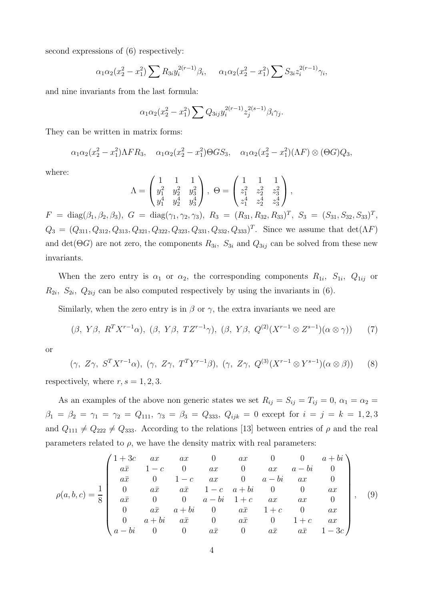second expressions of (6) respectively:

$$
\alpha_1 \alpha_2 (x_2^2 - x_1^2) \sum R_{3i} y_i^{2(r-1)} \beta_i, \quad \alpha_1 \alpha_2 (x_2^2 - x_1^2) \sum S_{3i} z_i^{2(r-1)} \gamma_i,
$$

and nine invariants from the last formula:

$$
\alpha_1 \alpha_2 (x_2^2 - x_1^2) \sum Q_{3ij} y_i^{2(r-1)} z_j^{2(s-1)} \beta_i \gamma_j.
$$

They can be written in matrix forms:

$$
\alpha_1\alpha_2(x_2^2 - x_1^2)\Lambda FR_3
$$
,  $\alpha_1\alpha_2(x_2^2 - x_1^2)\Theta GS_3$ ,  $\alpha_1\alpha_2(x_2^2 - x_1^2)(\Lambda F) \otimes (\Theta G)Q_3$ ,

where:

$$
\Lambda = \begin{pmatrix} 1 & 1 & 1 \\ y_1^2 & y_2^2 & y_3^2 \\ y_1^4 & y_2^4 & y_3^4 \end{pmatrix}, \ \Theta = \begin{pmatrix} 1 & 1 & 1 \\ z_1^2 & z_2^2 & z_3^2 \\ z_1^4 & z_2^4 & z_3^4 \end{pmatrix},
$$

 $F = \text{diag}(\beta_1, \beta_2, \beta_3), G = \text{diag}(\gamma_1, \gamma_2, \gamma_3), R_3 = (R_{31}, R_{32}, R_{33})^T, S_3 = (S_{31}, S_{32}, S_{33})^T,$  $Q_3 = (Q_{311}, Q_{312}, Q_{313}, Q_{321}, Q_{322}, Q_{323}, Q_{331}, Q_{332}, Q_{333})^T$ . Since we assume that det( $\Lambda F$ ) and  $\det(\Theta G)$  are not zero, the components  $R_{3i}$ ,  $S_{3i}$  and  $Q_{3ij}$  can be solved from these new invariants.

When the zero entry is  $\alpha_1$  or  $\alpha_2$ , the corresponding components  $R_{1i}$ ,  $S_{1i}$ ,  $Q_{1ij}$  or  $R_{2i}$ ,  $S_{2i}$ ,  $Q_{2ij}$  can be also computed respectively by using the invariants in (6).

Similarly, when the zero entry is in  $\beta$  or  $\gamma$ , the extra invariants we need are

$$
(\beta, Y\beta, R^T X^{r-1} \alpha), (\beta, Y\beta, T Z^{r-1} \gamma), (\beta, Y\beta, Q^{(2)} (X^{r-1} \otimes Z^{s-1}) (\alpha \otimes \gamma)) \qquad (7)
$$

or

$$
(\gamma, Z\gamma, S^T X^{r-1} \alpha), (\gamma, Z\gamma, T^T Y^{r-1} \beta), (\gamma, Z\gamma, Q^{(3)} (X^{r-1} \otimes Y^{s-1}) (\alpha \otimes \beta))
$$
 (8)

respectively, where  $r, s = 1, 2, 3$ .

As an examples of the above non generic states we set  $R_{ij} = S_{ij} = T_{ij} = 0$ ,  $\alpha_1 = \alpha_2 =$  $\beta_1 = \beta_2 = \gamma_1 = \gamma_2 = Q_{111}, \gamma_3 = \beta_3 = Q_{333}, Q_{ijk} = 0$  except for  $i = j = k = 1, 2, 3$ and  $Q_{111} \neq Q_{222} \neq Q_{333}$ . According to the relations [13] between entries of  $\rho$  and the real parameters related to  $\rho$ , we have the density matrix with real parameters:

$$
\rho(a,b,c) = \frac{1}{8} \begin{pmatrix}\n1+3c & ax & ax & 0 & ax & 0 & 0 & a+bi \\
a\bar{x} & 1-c & 0 & ax & 0 & ax & a-bi & 0 \\
a\bar{x} & 0 & 1-c & ax & 0 & a-bi & ax & 0 \\
0 & a\bar{x} & a\bar{x} & 1-c & a+bi & 0 & 0 & ax \\
a\bar{x} & 0 & 0 & a-bi & 1+c & ax & ax & 0 \\
0 & a\bar{x} & a+bi & 0 & a\bar{x} & 1+c & 0 & ax \\
0 & a+bi & a\bar{x} & 0 & a\bar{x} & 0 & 1+c & ax \\
a-bi & 0 & 0 & a\bar{x} & 0 & a\bar{x} & a\bar{x} & 1-3c\n\end{pmatrix},
$$
\n(9)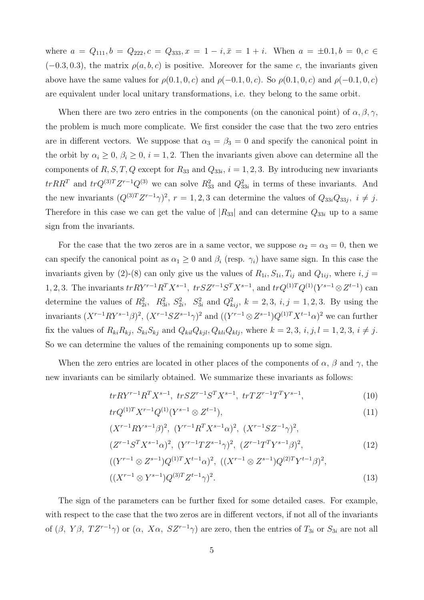where  $a = Q_{111}, b = Q_{222}, c = Q_{333}, x = 1 - i, \bar{x} = 1 + i$ . When  $a = \pm 0.1, b = 0, c \in$  $(-0.3, 0.3)$ , the matrix  $\rho(a, b, c)$  is positive. Moreover for the same c, the invariants given above have the same values for  $\rho(0.1, 0, c)$  and  $\rho(-0.1, 0, c)$ . So  $\rho(0.1, 0, c)$  and  $\rho(-0.1, 0, c)$ are equivalent under local unitary transformations, i.e. they belong to the same orbit.

When there are two zero entries in the components (on the canonical point) of  $\alpha, \beta, \gamma$ , the problem is much more complicate. We first consider the case that the two zero entries are in different vectors. We suppose that  $\alpha_3 = \beta_3 = 0$  and specify the canonical point in the orbit by  $\alpha_i \geq 0$ ,  $\beta_i \geq 0$ ,  $i = 1, 2$ . Then the invariants given above can determine all the components of R, S, T, Q except for R<sub>33</sub> and  $Q_{33i}$ ,  $i = 1, 2, 3$ . By introducing new invariants  $trRR^T$  and  $trQ^{(3)T}Z^{r-1}Q^{(3)}$  we can solve  $R_{33}^2$  and  $Q_{33i}^2$  in terms of these invariants. And the new invariants  $(Q^{(3)T}Z^{r-1}\gamma)^2$ ,  $r = 1, 2, 3$  can determine the values of  $Q_{33i}Q_{33j}$ ,  $i \neq j$ . Therefore in this case we can get the value of  $|R_{33}|$  and can determine  $Q_{33i}$  up to a same sign from the invariants.

For the case that the two zeros are in a same vector, we suppose  $\alpha_2 = \alpha_3 = 0$ , then we can specify the canonical point as  $\alpha_1 \geq 0$  and  $\beta_i$  (resp.  $\gamma_i$ ) have same sign. In this case the invariants given by (2)-(8) can only give us the values of  $R_{1i}$ ,  $S_{1i}$ ,  $T_{ij}$  and  $Q_{1ij}$ , where  $i, j =$ 1, 2, 3. The invariants  $tr RY^{r-1}R^TX^{s-1}$ ,  $tr SZ^{r-1}S^TX^{s-1}$ , and  $tr Q^{(1)T}Q^{(1)}(Y^{s-1} \otimes Z^{t-1})$  can determine the values of  $R_{2i}^2$ ,  $R_{3i}^2$ ,  $S_{2i}^2$ ,  $S_{3i}^2$  and  $Q_{kij}^2$ ,  $k = 2, 3, i, j = 1, 2, 3$ . By using the invariants  $(X^{r-1}RY^{s-1}\beta)^2$ ,  $(X^{r-1}SZ^{s-1}\gamma)^2$  and  $((Y^{r-1}\otimes Z^{s-1})Q^{(1)T}X^{t-1}\alpha)^2$  we can further fix the values of  $R_{ki}R_{kj}$ ,  $S_{ki}S_{kj}$  and  $Q_{kil}Q_{kjl}$ ,  $Q_{kil}Q_{klj}$ , where  $k = 2, 3, i, j, l = 1, 2, 3, i \neq j$ . So we can determine the values of the remaining components up to some sign.

When the zero entries are located in other places of the components of  $\alpha$ ,  $\beta$  and  $\gamma$ , the new invariants can be similarly obtained. We summarize these invariants as follows:

$$
tr R Y^{r-1} R^T X^{s-1}, \ tr S Z^{r-1} S^T X^{s-1}, \ tr T Z^{r-1} T^T Y^{s-1}, \tag{10}
$$

$$
tr Q^{(1)T} X^{r-1} Q^{(1)} (Y^{s-1} \otimes Z^{t-1}), \tag{11}
$$

$$
(X^{r-1}RY^{s-1}\beta)^2, (Y^{r-1}R^TX^{s-1}\alpha)^2, (X^{r-1}SZ^{-1}\gamma)^2,
$$
  

$$
(Z^{r-1}S^TX^{s-1}\alpha)^2, (Y^{r-1}TZ^{s-1}\gamma)^2, (Z^{r-1}T^TY^{s-1}\beta)^2,
$$
 (12)

$$
((Y^{r-1} \otimes Z^{s-1})Q^{(1)T}X^{t-1}\alpha)^2
$$
,  $((X^{r-1} \otimes Z^{s-1})Q^{(2)T}Y^{t-1}\beta)^2$ ,  
 $((X^{r-1} \otimes Y^{s-1})Q^{(3)T}Z^{t-1}\gamma)^2$ . (13)

The sign of the parameters can be further fixed for some detailed cases. For example, with respect to the case that the two zeros are in different vectors, if not all of the invariants of  $(\beta, Y\beta, TZ^{r-1}\gamma)$  or  $(\alpha, X\alpha, SZ^{r-1}\gamma)$  are zero, then the entries of  $T_{3i}$  or  $S_{3i}$  are not all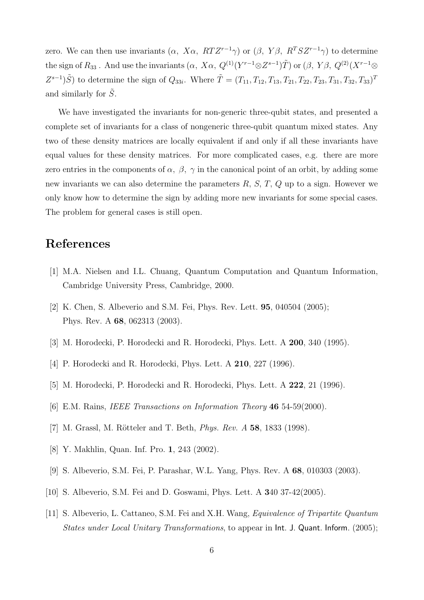zero. We can then use invariants  $(\alpha, X\alpha, RTZ^{r-1}\gamma)$  or  $(\beta, Y\beta, R^{T}SZ^{r-1}\gamma)$  to determine the sign of  $R_{33}$ . And use the invariants  $(\alpha, X\alpha, Q^{(1)}(Y^{r-1}\otimes Z^{s-1})\tilde{T})$  or  $(\beta, Y\beta, Q^{(2)}(X^{r-1}\otimes Z^{s-1})$  $Z^{s-1}(\tilde{S})$  to determine the sign of  $Q_{33i}$ . Where  $\tilde{T} = (T_{11}, T_{12}, T_{13}, T_{21}, T_{22}, T_{23}, T_{31}, T_{32}, T_{33})^T$ and similarly for  $\tilde{S}$ .

We have investigated the invariants for non-generic three-qubit states, and presented a complete set of invariants for a class of nongeneric three-qubit quantum mixed states. Any two of these density matrices are locally equivalent if and only if all these invariants have equal values for these density matrices. For more complicated cases, e.g. there are more zero entries in the components of  $\alpha$ ,  $\beta$ ,  $\gamma$  in the canonical point of an orbit, by adding some new invariants we can also determine the parameters  $R, S, T, Q$  up to a sign. However we only know how to determine the sign by adding more new invariants for some special cases. The problem for general cases is still open.

- [1] M.A. Nielsen and I.L. Chuang, Quantum Computation and Quantum Information, Cambridge University Press, Cambridge, 2000.
- [2] K. Chen, S. Albeverio and S.M. Fei, Phys. Rev. Lett. **95**, 040504 (2005); Phys. Rev. A **68**, 062313 (2003).
- [3] M. Horodecki, P. Horodecki and R. Horodecki, Phys. Lett. A **200**, 340 (1995).
- [4] P. Horodecki and R. Horodecki, Phys. Lett. A **210**, 227 (1996).
- [5] M. Horodecki, P. Horodecki and R. Horodecki, Phys. Lett. A **222**, 21 (1996).
- [6] E.M. Rains, *IEEE Transactions on Information Theory* **46** 54-59(2000).
- [7] M. Grassl, M. Rötteler and T. Beth, *Phys. Rev. A* **58**, 1833 (1998).
- [8] Y. Makhlin, Quan. Inf. Pro. **1**, 243 (2002).
- [9] S. Albeverio, S.M. Fei, P. Parashar, W.L. Yang, Phys. Rev. A **68**, 010303 (2003).
- [10] S. Albeverio, S.M. Fei and D. Goswami, Phys. Lett. A **3**40 37-42(2005).
- [11] S. Albeverio, L. Cattaneo, S.M. Fei and X.H. Wang, *Equivalence of Tripartite Quantum States under Local Unitary Transformations*, to appear in Int. J. Quant. Inform. (2005);